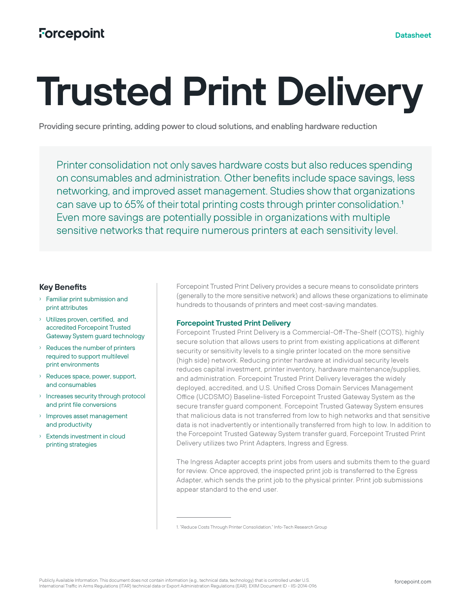# **Trusted Print Delivery**

Providing secure printing, adding power to cloud solutions, and enabling hardware reduction

Printer consolidation not only saves hardware costs but also reduces spending on consumables and administration. Other benefits include space savings, less networking, and improved asset management. Studies show that organizations can save up to 65% of their total printing costs through printer consolidation.1 Even more savings are potentially possible in organizations with multiple sensitive networks that require numerous printers at each sensitivity level.

# **Key Benefits**

- › Familiar print submission and print attributes
- › Utilizes proven, certified, and accredited Forcepoint Trusted Gateway System guard technology
- › Reduces the number of printers required to support multilevel print environments
- › Reduces space, power, support, and consumables
- › Increases security through protocol and print file conversions
- › Improves asset management and productivity
- › Extends investment in cloud printing strategies

Forcepoint Trusted Print Delivery provides a secure means to consolidate printers (generally to the more sensitive network) and allows these organizations to eliminate hundreds to thousands of printers and meet cost-saving mandates.

# **Forcepoint Trusted Print Delivery**

Forcepoint Trusted Print Delivery is a Commercial-Off-The-Shelf (COTS), highly secure solution that allows users to print from existing applications at different security or sensitivity levels to a single printer located on the more sensitive (high side) network. Reducing printer hardware at individual security levels reduces capital investment, printer inventory, hardware maintenance/supplies, and administration. Forcepoint Trusted Print Delivery leverages the widely deployed, accredited, and U.S. Unified Cross Domain Services Management Office (UCDSMO) Baseline-listed Forcepoint Trusted Gateway System as the secure transfer guard component. Forcepoint Trusted Gateway System ensures that malicious data is not transferred from low to high networks and that sensitive data is not inadvertently or intentionally transferred from high to low. In addition to the Forcepoint Trusted Gateway System transfer guard, Forcepoint Trusted Print Delivery utilizes two Print Adapters, Ingress and Egress.

The Ingress Adapter accepts print jobs from users and submits them to the guard for review. Once approved, the inspected print job is transferred to the Egress Adapter, which sends the print job to the physical printer. Print job submissions appear standard to the end user.

<sup>1. &</sup>quot;Reduce Costs Through Printer Consolidation," Info-Tech Research Group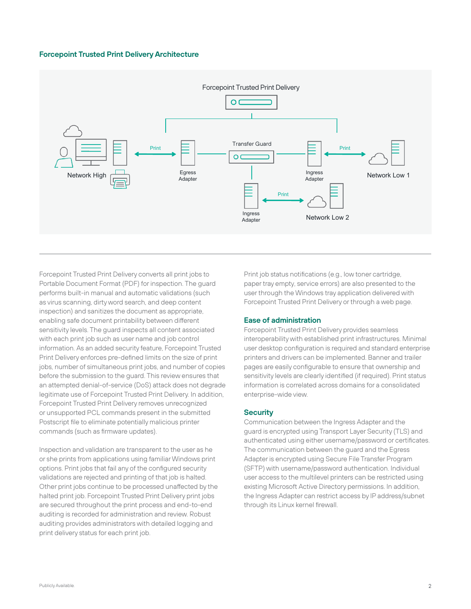# **Forcepoint Trusted Print Delivery Architecture**



Forcepoint Trusted Print Delivery converts all print jobs to Portable Document Format (PDF) for inspection. The guard performs built-in manual and automatic validations (such as virus scanning, dirty word search, and deep content inspection) and sanitizes the document as appropriate, enabling safe document printability between different sensitivity levels. The guard inspects all content associated with each print job such as user name and job control information. As an added security feature, Forcepoint Trusted Print Delivery enforces pre-defined limits on the size of print jobs, number of simultaneous print jobs, and number of copies before the submission to the guard. This review ensures that an attempted denial-of-service (DoS) attack does not degrade legitimate use of Forcepoint Trusted Print Delivery. In addition, Forcepoint Trusted Print Delivery removes unrecognized or unsupported PCL commands present in the submitted Postscript file to eliminate potentially malicious printer commands (such as firmware updates).

Inspection and validation are transparent to the user as he or she prints from applications using familiar Windows print options. Print jobs that fail any of the configured security validations are rejected and printing of that job is halted. Other print jobs continue to be processed unaffected by the halted print job. Forcepoint Trusted Print Delivery print jobs are secured throughout the print process and end-to-end auditing is recorded for administration and review. Robust auditing provides administrators with detailed logging and print delivery status for each print job.

Print job status notifications (e.g., low toner cartridge, paper tray empty, service errors) are also presented to the user through the Windows tray application delivered with Forcepoint Trusted Print Delivery or through a web page.

### **Ease of administration**

Forcepoint Trusted Print Delivery provides seamless interoperability with established print infrastructures. Minimal user desktop configuration is required and standard enterprise printers and drivers can be implemented. Banner and trailer pages are easily configurable to ensure that ownership and sensitivity levels are clearly identified (if required). Print status information is correlated across domains for a consolidated enterprise-wide view.

#### **Security**

Communication between the Ingress Adapter and the guard is encrypted using Transport Layer Security (TLS) and authenticated using either username/password or certificates. The communication between the guard and the Egress Adapter is encrypted using Secure File Transfer Program (SFTP) with username/password authentication. Individual user access to the multilevel printers can be restricted using existing Microsoft Active Directory permissions. In addition, the Ingress Adapter can restrict access by IP address/subnet through its Linux kernel firewall.